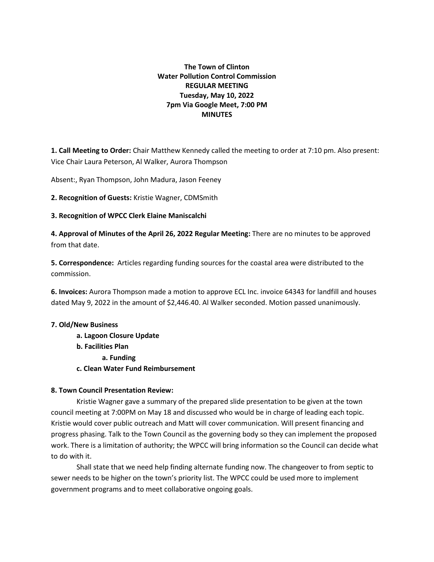# **The Town of Clinton Water Pollution Control Commission REGULAR MEETING Tuesday, May 10, 2022 7pm Via Google Meet, 7:00 PM MINUTES**

**1. Call Meeting to Order:** Chair Matthew Kennedy called the meeting to order at 7:10 pm. Also present: Vice Chair Laura Peterson, Al Walker, Aurora Thompson

Absent:, Ryan Thompson, John Madura, Jason Feeney

**2. Recognition of Guests:** Kristie Wagner, CDMSmith

### **3. Recognition of WPCC Clerk Elaine Maniscalchi**

**4. Approval of Minutes of the April 26, 2022 Regular Meeting:** There are no minutes to be approved from that date.

**5. Correspondence:** Articles regarding funding sources for the coastal area were distributed to the commission.

**6. Invoices:** Aurora Thompson made a motion to approve ECL Inc. invoice 64343 for landfill and houses dated May 9, 2022 in the amount of \$2,446.40. Al Walker seconded. Motion passed unanimously.

### **7. Old/New Business**

**a. Lagoon Closure Update b. Facilities Plan a. Funding c. Clean Water Fund Reimbursement**

## **8. Town Council Presentation Review:**

Kristie Wagner gave a summary of the prepared slide presentation to be given at the town council meeting at 7:00PM on May 18 and discussed who would be in charge of leading each topic. Kristie would cover public outreach and Matt will cover communication. Will present financing and progress phasing. Talk to the Town Council as the governing body so they can implement the proposed work. There is a limitation of authority; the WPCC will bring information so the Council can decide what to do with it.

Shall state that we need help finding alternate funding now. The changeover to from septic to sewer needs to be higher on the town's priority list. The WPCC could be used more to implement government programs and to meet collaborative ongoing goals.